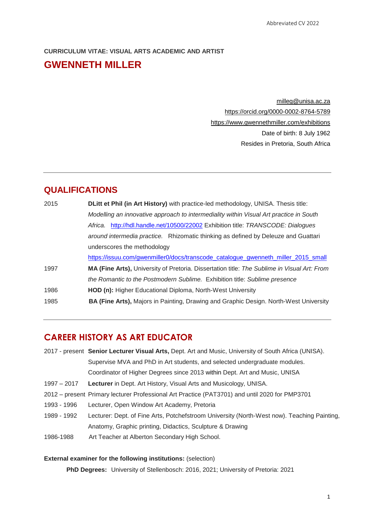## **CURRICULUM VITAE: VISUAL ARTS ACADEMIC AND ARTIST GWENNETH MILLER**

[milleg@unisa.ac.za](mailto:milleg@unisa.ac.za) <https://orcid.org/0000-0002-8764-5789> <https://www.gwennethmiller.com/exhibitions> Date of birth: 8 July 1962 Resides in Pretoria, South Africa

#### **QUALIFICATIONS**

| 2015 | <b>DLitt et Phil (in Art History)</b> with practice-led methodology, UNISA. Thesis title:    |
|------|----------------------------------------------------------------------------------------------|
|      | Modelling an innovative approach to intermediality within Visual Art practice in South       |
|      | Africa. http://hdl.handle.net/10500/22002 Exhibition title: TRANSCODE: Dialogues             |
|      | around intermedia practice. Rhizomatic thinking as defined by Deleuze and Guattari           |
|      | underscores the methodology                                                                  |
|      | https://issuu.com/gwenmiller0/docs/transcode_catalogue_gwenneth_miller_2015_small            |
| 1997 | MA (Fine Arts), University of Pretoria. Dissertation title: The Sublime in Visual Art: From  |
|      | the Romantic to the Postmodern Sublime. Exhibition title: Sublime presence                   |
| 1986 | HOD (n): Higher Educational Diploma, North-West University                                   |
| 1985 | <b>BA (Fine Arts), Majors in Painting, Drawing and Graphic Design. North-West University</b> |
|      |                                                                                              |

### **CAREER HISTORY AS ART EDUCATOR**

- 2017 present **Senior Lecturer Visual Arts,** Dept. Art and Music, University of South Africa (UNISA). Supervise MVA and PhD in Art students, and selected undergraduate modules. Coordinator of Higher Degrees since 2013 within Dept. Art and Music, UNISA
- 1997 2017 **Lecturer** in Dept. Art History, Visual Arts and Musicology, UNISA.
- 2012 present Primary lecturer Professional Art Practice (PAT3701) and until 2020 for PMP3701
- 1993 1996 Lecturer, Open Window Art Academy, Pretoria
- 1989 1992 Lecturer: Dept. of Fine Arts, Potchefstroom University (North-West now). Teaching Painting, Anatomy, Graphic printing, Didactics, Sculpture & Drawing
- 1986-1988 Art Teacher at Alberton Secondary High School.

#### **External examiner for the following institutions:** (selection)

**PhD Degrees:** University of Stellenbosch: 2016, 2021; University of Pretoria: 2021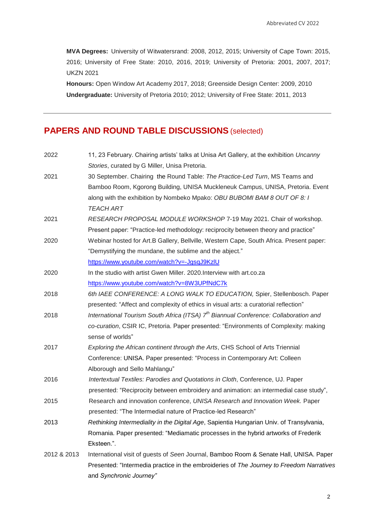**MVA Degrees:** University of Witwatersrand: 2008, 2012, 2015; University of Cape Town: 2015, 2016; University of Free State: 2010, 2016, 2019; University of Pretoria: 2001, 2007, 2017; UKZN 2021

**Honours:** Open Window Art Academy 2017, 2018; Greenside Design Center: 2009, 2010 **Undergraduate:** University of Pretoria 2010; 2012; University of Free State: 2011, 2013

## **PAPERS AND ROUND TABLE DISCUSSIONS** (selected)

| 2022        | 11, 23 February. Chairing artists' talks at Unisa Art Gallery, at the exhibition Uncanny         |
|-------------|--------------------------------------------------------------------------------------------------|
|             | Stories, curated by G Miller, Unisa Pretoria.                                                    |
| 2021        | 30 September. Chairing the Round Table: The Practice-Led Turn, MS Teams and                      |
|             | Bamboo Room, Kgorong Building, UNISA Muckleneuk Campus, UNISA, Pretoria. Event                   |
|             | along with the exhibition by Nombeko Mpako: OBU BUBOMI BAM 8 OUT OF 8: I                         |
|             | TEACH ART                                                                                        |
| 2021        | RESEARCH PROPOSAL MODULE WORKSHOP 7-19 May 2021. Chair of workshop.                              |
|             | Present paper: "Practice-led methodology: reciprocity between theory and practice"               |
| 2020        | Webinar hosted for Art.B Gallery, Bellville, Western Cape, South Africa. Present paper:          |
|             | "Demystifying the mundane, the sublime and the abject."                                          |
|             | https://www.youtube.com/watch?v=-JgsqJ9KzIU                                                      |
| 2020        | In the studio with artist Gwen Miller. 2020. Interview with art.co.za                            |
|             | https://www.youtube.com/watch?v=8W3UPfNdC7k                                                      |
| 2018        | 6th IAEE CONFERENCE: A LONG WALK TO EDUCATION, Spier, Stellenbosch. Paper                        |
|             | presented: "Affect and complexity of ethics in visual arts: a curatorial reflection"             |
| 2018        | International Tourism South Africa (ITSA) 7 <sup>th</sup> Biannual Conference: Collaboration and |
|             | co-curation, CSIR IC, Pretoria. Paper presented: "Environments of Complexity: making             |
|             | sense of worlds"                                                                                 |
| 2017        | Exploring the African continent through the Arts, CHS School of Arts Triennial                   |
|             | Conference: UNISA. Paper presented: "Process in Contemporary Art: Colleen                        |
|             | Alborough and Sello Mahlangu"                                                                    |
| 2016        | Intertextual Textiles: Parodies and Quotations in Cloth, Conference, UJ. Paper                   |
|             | presented: "Reciprocity between embroidery and animation: an intermedial case study",            |
| 2015        | Research and innovation conference, UNISA Research and Innovation Week. Paper                    |
|             | presented: "The Intermedial nature of Practice-led Research"                                     |
| 2013        | Rethinking Intermediality in the Digital Age, Sapientia Hungarian Univ. of Transylvania,         |
|             | Romania. Paper presented: "Mediamatic processes in the hybrid artworks of Frederik               |
|             | Eksteen.".                                                                                       |
| 2012 & 2013 | International visit of guests of Seen Journal, Bamboo Room & Senate Hall, UNISA. Paper           |
|             | Presented: "Intermedia practice in the embroideries of The Journey to Freedom Narratives         |
|             | and Synchronic Journey"                                                                          |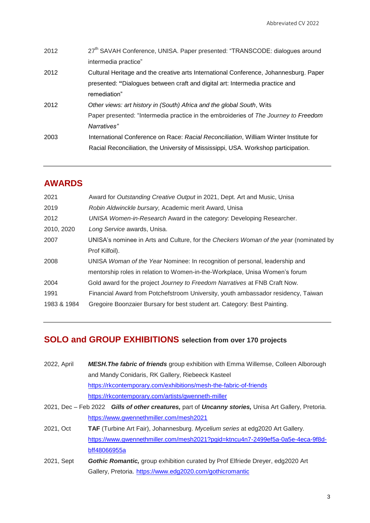| 2012 | 27 <sup>th</sup> SAVAH Conference, UNISA. Paper presented: "TRANSCODE: dialogues around |
|------|-----------------------------------------------------------------------------------------|
|      | intermedia practice"                                                                    |
| 2012 | Cultural Heritage and the creative arts International Conference, Johannesburg. Paper   |
|      | presented: "Dialogues between craft and digital art: Intermedia practice and            |
|      | remediation"                                                                            |
| 2012 | Other views: art history in (South) Africa and the global South, Wits                   |
|      | Paper presented: "Intermedia practice in the embroideries of The Journey to Freedom     |
|      | Narratives"                                                                             |
| 2003 | International Conference on Race: Racial Reconciliation, William Winter Institute for   |
|      | Racial Reconciliation, the University of Mississippi, USA. Workshop participation.      |

### **AWARDS**

| 2021        | Award for Outstanding Creative Output in 2021, Dept. Art and Music, Unisa             |
|-------------|---------------------------------------------------------------------------------------|
| 2019        | Robin Aldwinckle bursary, Academic merit Award, Unisa                                 |
| 2012        | UNISA Women-in-Research Award in the category: Developing Researcher.                 |
| 2010, 2020  | Long Service awards, Unisa.                                                           |
| 2007        | UNISA's nominee in Arts and Culture, for the Checkers Woman of the year (nominated by |
|             | Prof Kilfoil).                                                                        |
| 2008        | UNISA Woman of the Year Nominee: In recognition of personal, leadership and           |
|             | mentorship roles in relation to Women-in-the-Workplace, Unisa Women's forum           |
| 2004        | Gold award for the project Journey to Freedom Narratives at FNB Craft Now.            |
| 1991        | Financial Award from Potchefstroom University, youth ambassador residency, Taiwan     |
| 1983 & 1984 | Gregoire Boonzaier Bursary for best student art. Category: Best Painting.             |
|             |                                                                                       |

## **SOLO and GROUP EXHIBITIONS selection from over 170 projects**

<https://www.gwennethmiller.com/mesh2021>

| 2022, April | <b>MESH. The fabric of friends</b> group exhibition with Emma Willemse, Colleen Alborough            |
|-------------|------------------------------------------------------------------------------------------------------|
|             | and Mandy Conidaris, RK Gallery, Riebeeck Kasteel                                                    |
|             | https://rkcontemporary.com/exhibitions/mesh-the-fabric-of-friends                                    |
|             | https://rkcontemporary.com/artists/gwenneth-miller                                                   |
|             | 2021, Dec - Feb 2022 Gills of other creatures, part of Uncanny stories, Unisa Art Gallery, Pretoria. |

- 2021, Oct **TAF** (Turbine Art Fair), Johannesburg. *Mycelium series* at edg2020 Art Gallery. [https://www.gwennethmiller.com/mesh2021?pgid=ktncu4n7-2499ef5a-0a5e-4eca-9f8d](https://www.gwennethmiller.com/mesh2021?pgid=ktncu4n7-2499ef5a-0a5e-4eca-9f8d-bff48066955a)[bff48066955a](https://www.gwennethmiller.com/mesh2021?pgid=ktncu4n7-2499ef5a-0a5e-4eca-9f8d-bff48066955a)
- 2021, Sept *Gothic Romantic,* group exhibition curated by Prof Elfriede Dreyer, edg2020 Art Gallery, Pretoria. <https://www.edg2020.com/gothicromantic>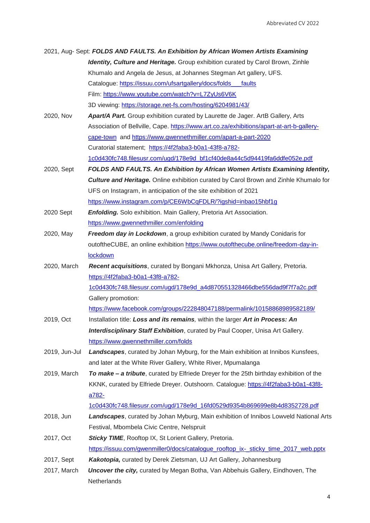|               | 2021, Aug- Sept: FOLDS AND FAULTS. An Exhibition by African Women Artists Examining          |
|---------------|----------------------------------------------------------------------------------------------|
|               | Identity, Culture and Heritage. Group exhibition curated by Carol Brown, Zinhle              |
|               | Khumalo and Angela de Jesus, at Johannes Stegman Art gallery, UFS.                           |
|               | Catalogue: https://issuu.com/ufsartgallery/docs/folds faults                                 |
|               | Film: https://www.youtube.com/watch?v=L7ZyUs6V6K                                             |
|               | 3D viewing: https://storage.net-fs.com/hosting/6204981/43/                                   |
| 2020, Nov     | Apart/A Part. Group exhibition curated by Laurette de Jager. ArtB Gallery, Arts              |
|               | Association of Bellville, Cape. https://www.art.co.za/exhibitions/apart-at-art-b-gallery-    |
|               | cape-town and https://www.gwennethmiller.com/apart-a-part-2020                               |
|               | Curatorial statement; https://4f2faba3-b0a1-43f8-a782-                                       |
|               | 1c0d430fc748.filesusr.com/ugd/178e9d bf1cf40de8a44c5d94419fa6ddfe052e.pdf                    |
| 2020, Sept    | <b>FOLDS AND FAULTS. An Exhibition by African Women Artists Examining Identity,</b>          |
|               | <b>Culture and Heritage.</b> Online exhibition curated by Carol Brown and Zinhle Khumalo for |
|               | UFS on Instagram, in anticipation of the site exhibition of 2021                             |
|               | https://www.instagram.com/p/CE6WbCqFDLR/?igshid=inbao15hbf1g                                 |
| 2020 Sept     | <b>Enfolding.</b> Solo exhibition. Main Gallery, Pretoria Art Association.                   |
|               | https://www.gwennethmiller.com/enfolding                                                     |
| 2020, May     | Freedom day in Lockdown, a group exhibition curated by Mandy Conidaris for                   |
|               | outoftheCUBE, an online exhibition https://www.outofthecube.online/freedom-day-in-           |
|               | lockdown                                                                                     |
| 2020, March   | Recent acquisitions, curated by Bongani Mkhonza, Unisa Art Gallery, Pretoria.                |
|               | https://4f2faba3-b0a1-43f8-a782-                                                             |
|               | 1c0d430fc748.filesusr.com/ugd/178e9d_a4d870551328466dbe556dad9f7f7a2c.pdf                    |
|               | Gallery promotion:                                                                           |
|               | https://www.facebook.com/groups/222848047188/permalink/10158868989582189/                    |
| 2019, Oct     | Installation title: Loss and its remains, within the larger Art in Process: An               |
|               | Interdisciplinary Staff Exhibition, curated by Paul Cooper, Unisa Art Gallery.               |
|               | https://www.gwennethmiller.com/folds                                                         |
| 2019, Jun-Jul | Landscapes, curated by Johan Myburg, for the Main exhibition at Innibos Kunsfees,            |
|               | and later at the White River Gallery, White River, Mpumalanga                                |
| 2019, March   | To make - a tribute, curated by Elfriede Dreyer for the 25th birthday exhibition of the      |
|               | KKNK, curated by Elfriede Dreyer. Outshoorn. Catalogue: https://4f2faba3-b0a1-43f8-          |
|               | a782-                                                                                        |
|               | 1c0d430fc748.filesusr.com/ugd/178e9d_16fd0529d9354b869699e8b4d8352728.pdf                    |
| 2018, Jun     | Landscapes, curated by Johan Myburg, Main exhibition of Innibos Lowveld National Arts        |
|               | Festival, Mbombela Civic Centre, Nelspruit                                                   |
| 2017, Oct     | Sticky TIME, Rooftop IX, St Lorient Gallery, Pretoria.                                       |
|               | https://issuu.com/gwenmiller0/docs/catalogue_rooftop_ix-_sticky_time_2017_web.pptx           |
| 2017, Sept    | Kakotopia, curated by Derek Zietsman, UJ Art Gallery, Johannesburg                           |
| 2017, March   | <b>Uncover the city, curated by Megan Botha, Van Abbehuis Gallery, Eindhoven, The</b>        |
|               | Netherlands                                                                                  |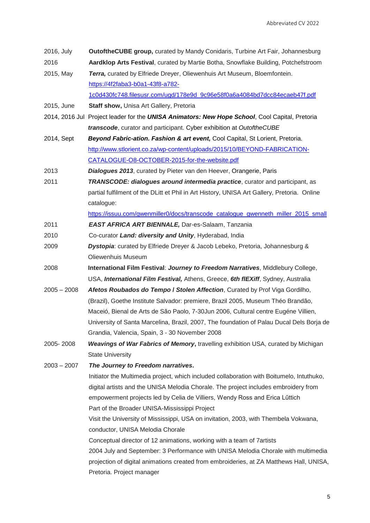| 2016, July    | <b>OutoftheCUBE group, curated by Mandy Conidaris, Turbine Art Fair, Johannesburg</b>                     |
|---------------|-----------------------------------------------------------------------------------------------------------|
| 2016          | Aardklop Arts Festival, curated by Martie Botha, Snowflake Building, Potchefstroom                        |
| 2015, May     | Terra, curated by Elfriede Dreyer, Oliewenhuis Art Museum, Bloemfontein.                                  |
|               | https://4f2faba3-b0a1-43f8-a782-                                                                          |
|               | 1c0d430fc748.filesusr.com/ugd/178e9d_9c96e58f0a6a4084bd7dcc84ecaeb47f.pdf                                 |
| 2015, June    | Staff show, Unisa Art Gallery, Pretoria                                                                   |
|               | 2014, 2016 Jul Project leader for the UNISA Animators: New Hope School, Cool Capital, Pretoria            |
|               | transcode, curator and participant. Cyber exhibition at OutoftheCUBE                                      |
| 2014, Sept    | Beyond Fabric-ation. Fashion & art event, Cool Capital, St Lorient, Pretoria.                             |
|               | http://www.stlorient.co.za/wp-content/uploads/2015/10/BEYOND-FABRICATION-                                 |
|               | CATALOGUE-O8-OCTOBER-2015-for-the-website.pdf                                                             |
| 2013          | Dialogues 2013, curated by Pieter van den Heever, Orangerie, Paris                                        |
| 2011          | <b>TRANSCODE: dialogues around intermedia practice</b> , curator and participant, as                      |
|               | partial fulfilment of the DLitt et Phil in Art History, UNISA Art Gallery, Pretoria. Online<br>catalogue: |
|               | https://issuu.com/gwenmiller0/docs/transcode_catalogue_gwenneth_miller_2015_small                         |
| 2011          | EAST AFRICA ART BIENNALE, Dar-es-Salaam, Tanzania                                                         |
| 2010          | Co-curator Land: diversity and Unity, Hyderabad, India                                                    |
| 2009          | <b>Dystopia:</b> curated by Elfriede Dreyer & Jacob Lebeko, Pretoria, Johannesburg &                      |
|               | Oliewenhuis Museum                                                                                        |
|               |                                                                                                           |
| 2008          | International Film Festival: Journey to Freedom Narratives, Middlebury College,                           |
|               | USA, International Film Festival, Athens, Greece, 6th flEXiff, Sydney, Australia                          |
| $2005 - 2008$ | Afetos Roubados do Tempo / Stolen Affection, Curated by Prof Viga Gordilho,                               |
|               | (Brazil), Goethe Institute Salvador: premiere, Brazil 2005, Museum Théo Brandão,                          |
|               | Maceió, Bienal de Arts de São Paolo, 7-30Jun 2006, Cultural centre Eugéne Villien,                        |
|               | University of Santa Marcelina, Brazil, 2007, The foundation of Palau Ducal Dels Borja de                  |
|               | Grandia, Valencia, Spain, 3 - 30 November 2008                                                            |
| 2005-2008     | <b>Weavings of War Fabrics of Memory, travelling exhibition USA, curated by Michigan</b>                  |
|               | <b>State University</b>                                                                                   |
| $2003 - 2007$ | The Journey to Freedom narratives.                                                                        |
|               | Initiator the Multimedia project, which included collaboration with Boitumelo, Intuthuko,                 |
|               | digital artists and the UNISA Melodia Chorale. The project includes embroidery from                       |
|               | empowerment projects led by Celia de Villiers, Wendy Ross and Erica Lüttich                               |
|               | Part of the Broader UNISA-Mississippi Project                                                             |
|               | Visit the University of Mississippi, USA on invitation, 2003, with Thembela Vokwana,                      |
|               | conductor, UNISA Melodia Chorale                                                                          |
|               | Conceptual director of 12 animations, working with a team of 7 artists                                    |
|               | 2004 July and September: 3 Performance with UNISA Melodia Chorale with multimedia                         |
|               | projection of digital animations created from embroideries, at ZA Matthews Hall, UNISA,                   |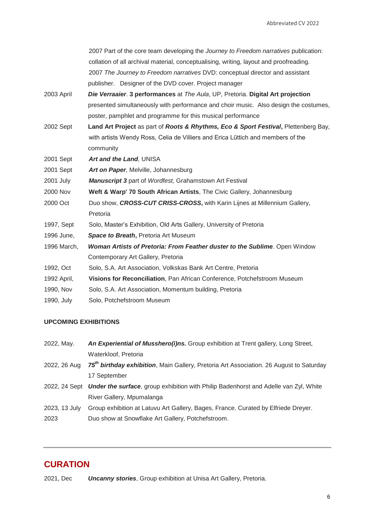|             | 2007 Part of the core team developing the Journey to Freedom narratives publication:   |
|-------------|----------------------------------------------------------------------------------------|
|             | collation of all archival material, conceptualising, writing, layout and proofreading. |
|             | 2007 The Journey to Freedom narratives DVD: conceptual director and assistant          |
|             | publisher. Designer of the DVD cover. Project manager                                  |
| 2003 April  | Die Verraaier. 3 performances at The Aula, UP, Pretoria. Digital Art projection        |
|             | presented simultaneously with performance and choir music. Also design the costumes,   |
|             | poster, pamphlet and programme for this musical performance                            |
| 2002 Sept   | Land Art Project as part of Roots & Rhythms, Eco & Sport Festival, Plettenberg Bay,    |
|             | with artists Wendy Ross, Celia de Villiers and Erica Lüttich and members of the        |
|             | community                                                                              |
| 2001 Sept   | Art and the Land, UNISA                                                                |
| 2001 Sept   | Art on Paper, Melville, Johannesburg                                                   |
| 2001 July   | <b>Manuscript 3</b> part of Wordfest, Grahamstown Art Festival                         |
| 2000 Nov    | Weft & Warp' 70 South African Artists, The Civic Gallery, Johannesburg                 |
| 2000 Oct    | Duo show, CROSS-CUT CRISS-CROSS, with Karin Lijnes at Millennium Gallery,              |
|             | Pretoria                                                                               |
| 1997, Sept  | Solo, Master's Exhibition, Old Arts Gallery, University of Pretoria                    |
| 1996 June,  | Space to Breath, Pretoria Art Museum                                                   |
| 1996 March, | <b>Woman Artists of Pretoria: From Feather duster to the Sublime. Open Window</b>      |
|             | Contemporary Art Gallery, Pretoria                                                     |
| 1992, Oct   | Solo, S.A. Art Association, Volkskas Bank Art Centre, Pretoria                         |
| 1992 April, | Visions for Reconciliation, Pan African Conference, Potchefstroom Museum               |
| 1990, Nov   | Solo, S.A. Art Association, Momentum building, Pretoria                                |
| 1990, July  | Solo, Potchefstroom Museum                                                             |
|             |                                                                                        |

#### **UPCOMING EXHIBITIONS**

| 2022, May.    | An Experiential of Musshero(i)ns. Group exhibition at Trent gallery, Long Street,                   |
|---------------|-----------------------------------------------------------------------------------------------------|
|               | Waterkloof, Pretoria                                                                                |
| 2022, 26 Aug  | 75 <sup>th</sup> birthday exhibition, Main Gallery, Pretoria Art Association. 26 August to Saturday |
|               | 17 September                                                                                        |
|               | 2022, 24 Sept Under the surface, group exhibition with Philip Badenhorst and Adelle van Zyl, White  |
|               | River Gallery, Mpumalanga                                                                           |
| 2023, 13 July | Group exhibition at Latuvu Art Gallery, Bages, France. Curated by Elfriede Dreyer.                  |
| 2023          | Duo show at Snowflake Art Gallery, Potchefstroom.                                                   |

## **CURATION**

2021, Dec *Uncanny stories*, Group exhibition at Unisa Art Gallery, Pretoria.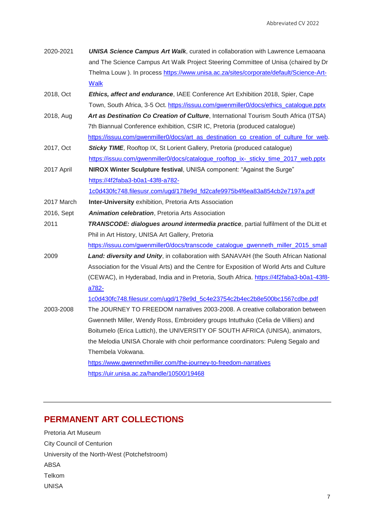| 2020-2021  | <b>UNISA Science Campus Art Walk, curated in collaboration with Lawrence Lemaoana</b>    |
|------------|------------------------------------------------------------------------------------------|
|            | and The Science Campus Art Walk Project Steering Committee of Unisa (chaired by Dr       |
|            | Thelma Louw). In process https://www.unisa.ac.za/sites/corporate/default/Science-Art-    |
|            | <b>Walk</b>                                                                              |
| 2018, Oct  | Ethics, affect and endurance, IAEE Conference Art Exhibition 2018, Spier, Cape           |
|            | Town, South Africa, 3-5 Oct. https://issuu.com/gwenmiller0/docs/ethics_catalogue.pptx    |
| 2018, Aug  | Art as Destination Co Creation of Culture, International Tourism South Africa (ITSA)     |
|            | 7th Biannual Conference exhibition, CSIR IC, Pretoria (produced catalogue)               |
|            | https://issuu.com/gwenmiller0/docs/art_as_destination_co_creation_of_culture_for_web.    |
| 2017, Oct  | <b>Sticky TIME, Rooftop IX, St Lorient Gallery, Pretoria (produced catalogue)</b>        |
|            | https://issuu.com/gwenmiller0/docs/catalogue rooftop ix- sticky time 2017 web.pptx       |
| 2017 April | NIROX Winter Sculpture festival, UNISA component: "Against the Surge"                    |
|            | https://4f2faba3-b0a1-43f8-a782-                                                         |
|            | 1c0d430fc748.filesusr.com/ugd/178e9d_fd2cafe9975b4f6ea83a854cb2e7197a.pdf                |
| 2017 March | <b>Inter-University exhibition, Pretoria Arts Association</b>                            |
| 2016, Sept | <b>Animation celebration, Pretoria Arts Association</b>                                  |
| 2011       | TRANSCODE: dialogues around intermedia practice, partial fulfilment of the DLitt et      |
|            | Phil in Art History, UNISA Art Gallery, Pretoria                                         |
|            | https://issuu.com/gwenmiller0/docs/transcode catalogue gwenneth miller 2015 small        |
| 2009       | Land: diversity and Unity, in collaboration with SANAVAH (the South African National     |
|            | Association for the Visual Arts) and the Centre for Exposition of World Arts and Culture |
|            | (CEWAC), in Hyderabad, India and in Pretoria, South Africa. https://4f2faba3-b0a1-43f8-  |
|            | a782-                                                                                    |
|            | 1c0d430fc748.filesusr.com/ugd/178e9d 5c4e23754c2b4ec2b8e500bc1567cdbe.pdf                |
| 2003-2008  | The JOURNEY TO FREEDOM narratives 2003-2008. A creative collaboration between            |
|            | Gwenneth Miller, Wendy Ross, Embroidery groups Intuthuko (Celia de Villiers) and         |
|            | Boitumelo (Erica Luttich), the UNIVERSITY OF SOUTH AFRICA (UNISA), animators,            |
|            | the Melodia UNISA Chorale with choir performance coordinators: Puleng Segalo and         |
|            | Thembela Vokwana.                                                                        |
|            | https://www.gwennethmiller.com/the-journey-to-freedom-narratives                         |
|            | https://uir.unisa.ac.za/handle/10500/19468                                               |
|            |                                                                                          |

# **PERMANENT ART COLLECTIONS**

Pretoria Art Museum City Council of Centurion University of the North-West (Potchefstroom) ABSA Telkom UNISA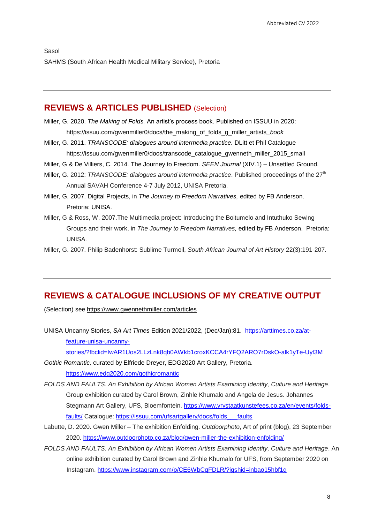#### **REVIEWS & ARTICLES PUBLISHED** (Selection)

- Miller, G. 2020. *The Making of Folds.* An artist"s process book. Published on ISSUU in 2020: https://issuu.com/gwenmiller0/docs/the\_making\_of\_folds\_g\_miller\_artists*\_book*
- Miller, G. 2011. *TRANSCODE: dialogues around intermedia practice.* DLitt et Phil Catalogue https://issuu.com/gwenmiller0/docs/transcode\_catalogue\_gwenneth\_miller\_2015\_small
- Miller, G & De Villiers, C. 2014. The Journey to Freedom. *SEEN Journal* (XIV.1) Unsettled Ground.
- Miller, G. 2012: *TRANSCODE: dialogues around intermedia practice*. Published proceedings of the 27<sup>th</sup> Annual SAVAH Conference 4-7 July 2012, UNISA Pretoria.
- Miller, G. 2007. Digital Projects, in *The Journey to Freedom Narratives,* edited by FB Anderson. Pretoria: UNISA.
- Miller, G & Ross, W. 2007.The Multimedia project: Introducing the Boitumelo and Intuthuko Sewing Groups and their work, in *The Journey to Freedom Narratives,* edited by FB Anderson. Pretoria: UNISA.
- Miller, G. 2007. Philip Badenhorst: Sublime Turmoil, *South African Journal of Art History* 22(3):191-207.

### **REVIEWS & CATALOGUE INCLUSIONS OF MY CREATIVE OUTPUT**

(Selection) see <https://www.gwennethmiller.com/articles>

UNISA Uncanny Stories, *SA Art Times* Edition 2021/2022, (Dec/Jan):81. [https://arttimes.co.za/at](https://arttimes.co.za/at-feature-unisa-uncanny-stories/?fbclid=IwAR1Uos2LLzLnk8qb0AWkb1croxKCCA4rYFQ2ARO7rDskO-alk1yTe-Uyf3M)[feature-unisa-uncanny](https://arttimes.co.za/at-feature-unisa-uncanny-stories/?fbclid=IwAR1Uos2LLzLnk8qb0AWkb1croxKCCA4rYFQ2ARO7rDskO-alk1yTe-Uyf3M)[stories/?fbclid=IwAR1Uos2LLzLnk8qb0AWkb1croxKCCA4rYFQ2ARO7rDskO-alk1yTe-Uyf3M](https://arttimes.co.za/at-feature-unisa-uncanny-stories/?fbclid=IwAR1Uos2LLzLnk8qb0AWkb1croxKCCA4rYFQ2ARO7rDskO-alk1yTe-Uyf3M)

*Gothic Romantic,* curated by Elfriede Dreyer, EDG2020 Art Gallery, Pretoria. <https://www.edg2020.com/gothicromantic>

- *FOLDS AND FAULTS. An Exhibition by African Women Artists Examining Identity, Culture and Heritage*. Group exhibition curated by Carol Brown, Zinhle Khumalo and Angela de Jesus. Johannes Stegmann Art Gallery, UFS, Bloemfontein. [https://www.vrystaatkunstefees.co.za/en/events/folds](https://www.vrystaatkunstefees.co.za/en/events/folds-faults/)[faults/](https://www.vrystaatkunstefees.co.za/en/events/folds-faults/) Catalogue: [https://issuu.com/ufsartgallery/docs/folds\\_\\_\\_faults](https://issuu.com/ufsartgallery/docs/folds___faults)
- Labutte, D. 2020. Gwen Miller The exhibition Enfolding. *Outdoorphoto*, Art of print (blog), 23 September 2020.<https://www.outdoorphoto.co.za/blog/gwen-miller-the-exhibition-enfolding/>
- *FOLDS AND FAULTS. An Exhibition by African Women Artists Examining Identity, Culture and Heritage*. An online exhibition curated by Carol Brown and Zinhle Khumalo for UFS, from September 2020 on Instagram.<https://www.instagram.com/p/CE6WbCqFDLR/?igshid=inbao15hbf1g>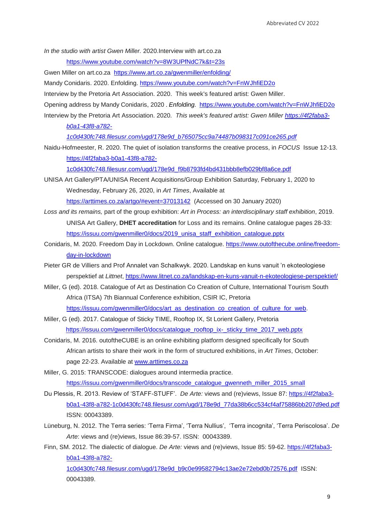*In the studio with artist Gwen Miller.* 2020.Interview with art.co.za

<https://www.youtube.com/watch?v=8W3UPfNdC7k&t=23s>

- Gwen Miller on art.co.za <https://www.art.co.za/gwenmiller/enfolding/>
- Mandy Conidaris. 2020. Enfolding.<https://www.youtube.com/watch?v=FnWJhfiED2o>

Interview by the Pretoria Art Association. 2020. This week's featured artist: Gwen Miller.

- Opening address by Mandy Conidaris, 2020 . *Enfolding.* <https://www.youtube.com/watch?v=FnWJhfiED2o>
- Interview by the Pretoria Art Association. 2020*. This week's featured artist: Gwen Miller [https://4f2faba3](https://4f2faba3-b0a1-43f8-a782-1c0d430fc748.filesusr.com/ugd/178e9d_b765075cc9a74487b098317c091ce265.pdf) [b0a1-43f8-a782-](https://4f2faba3-b0a1-43f8-a782-1c0d430fc748.filesusr.com/ugd/178e9d_b765075cc9a74487b098317c091ce265.pdf)*

*[1c0d430fc748.filesusr.com/ugd/178e9d\\_b765075cc9a74487b098317c091ce265.pdf](https://4f2faba3-b0a1-43f8-a782-1c0d430fc748.filesusr.com/ugd/178e9d_b765075cc9a74487b098317c091ce265.pdf)*

Naidu-Hofmeester, R. 2020. The quiet of isolation transforms the creative process, in *FOCUS* Issue 12-13. [https://4f2faba3-b0a1-43f8-a782-](https://4f2faba3-b0a1-43f8-a782-1c0d430fc748.filesusr.com/ugd/178e9d_f9b8793fd4bd431bbb8efb029bf8a6ce.pdf)

[1c0d430fc748.filesusr.com/ugd/178e9d\\_f9b8793fd4bd431bbb8efb029bf8a6ce.pdf](https://4f2faba3-b0a1-43f8-a782-1c0d430fc748.filesusr.com/ugd/178e9d_f9b8793fd4bd431bbb8efb029bf8a6ce.pdf)

- UNISA Art Gallery/PTA/UNISA Recent Acquisitions/Group Exhibition Saturday, February 1, 2020 to Wednesday, February 26, 2020, in *Art Times*, Available at <https://arttimes.co.za/artgo/#event=37013142> (Accessed on 30 January 2020)
- *Loss and its remains,* part of the group exhibition: *Art in Process: an interdisciplinary staff exhibition*, 2019. UNISA Art Gallery, **DHET accreditation** for Loss and its remains. Online catalogue pages 28-33: [https://issuu.com/gwenmiller0/docs/2019\\_unisa\\_staff\\_exhibition\\_catalogue.pptx](https://issuu.com/gwenmiller0/docs/2019_unisa_staff_exhibition_catalogue.pptx)
- Conidaris, M. 2020. Freedom Day in Lockdown. Online catalogue. [https://www.outofthecube.online/freedom](https://www.outofthecube.online/freedom-day-in-lockdown)[day-in-lockdown](https://www.outofthecube.online/freedom-day-in-lockdown)
- Pieter GR de Villiers and Prof Annalet van Schalkwyk. 2020. Landskap en kuns vanuit "n ekoteologiese perspektief at *Littnet*,<https://www.litnet.co.za/landskap-en-kuns-vanuit-n-ekoteologiese-perspektief/>
- Miller, G (ed). 2018. Catalogue of Art as Destination Co Creation of Culture, International Tourism South Africa (ITSA) 7th Biannual Conference exhibition, CSIR IC, Pretoria [https://issuu.com/gwenmiller0/docs/art\\_as\\_destination\\_co\\_creation\\_of\\_culture\\_for\\_web.](https://issuu.com/gwenmiller0/docs/art_as_destination_co_creation_of_culture_for_web)
- Miller, G (ed). 2017. Catalogue of Sticky TIME, Rooftop IX, St Lorient Gallery, Pretoria [https://issuu.com/gwenmiller0/docs/catalogue\\_rooftop\\_ix-\\_sticky\\_time\\_2017\\_web.pptx](https://issuu.com/gwenmiller0/docs/catalogue_rooftop_ix-_sticky_time_2017_web.pptx)
- Conidaris, M. 2016. outoftheCUBE is an online exhibiting platform designed specifically for South African artists to share their work in the form of structured exhibitions, in *Art Times*, October: page 22-23. Available at [www.arttimes.co.za](http://www.arttimes.co.za/)
- Miller, G. 2015: TRANSCODE: dialogues around intermedia practice. [https://issuu.com/gwenmiller0/docs/transcode\\_catalogue\\_gwenneth\\_miller\\_2015\\_small](https://issuu.com/gwenmiller0/docs/transcode_catalogue_gwenneth_miller_2015_small)
- Du Plessis, R. 2013. Review of "STAFF-STUFF". *De Arte:* views and (re)views, Issue 87: [https://4f2faba3](https://4f2faba3-b0a1-43f8-a782-1c0d430fc748.filesusr.com/ugd/178e9d_77da38b6cc534cf4af75886bb207d9ed.pdf) [b0a1-43f8-a782-1c0d430fc748.filesusr.com/ugd/178e9d\\_77da38b6cc534cf4af75886bb207d9ed.pdf](https://4f2faba3-b0a1-43f8-a782-1c0d430fc748.filesusr.com/ugd/178e9d_77da38b6cc534cf4af75886bb207d9ed.pdf)  ISSN: 00043389.
- Lüneburg, N. 2012. The Terra series: 'Terra Firma', 'Terra Nullius', 'Terra incognita', 'Terra Periscolosa'. De *Arte*: views and (re)views, Issue 86:39-57. ISSN: 00043389.
- Finn, SM. 2012. The dialectic of dialogue. *De Arte:* views and (re)views, Issue 85: 59-62. [https://4f2faba3](https://4f2faba3-b0a1-43f8-a782-1c0d430fc748.filesusr.com/ugd/178e9d_b9c0e99582794c13ae2e72ebd0b72576.pdf) [b0a1-43f8-a782-](https://4f2faba3-b0a1-43f8-a782-1c0d430fc748.filesusr.com/ugd/178e9d_b9c0e99582794c13ae2e72ebd0b72576.pdf)

[1c0d430fc748.filesusr.com/ugd/178e9d\\_b9c0e99582794c13ae2e72ebd0b72576.pdf](https://4f2faba3-b0a1-43f8-a782-1c0d430fc748.filesusr.com/ugd/178e9d_b9c0e99582794c13ae2e72ebd0b72576.pdf) ISSN: 00043389.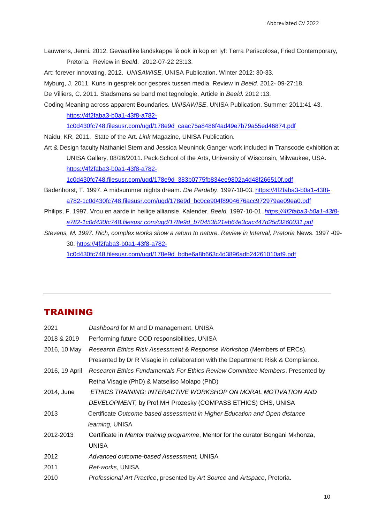Lauwrens, Jenni. 2012. Gevaarlike landskappe lê ook in kop en lyf: Terra Periscolosa, Fried Contemporary, Pretoria. Review in *Beel*d. 2012-07-22 23:13.

Art: forever innovating. 2012. *UNISAWISE,* UNISA Publication. Winter 2012: 30-33.

Myburg, J, 2011. Kuns in gesprek oor gesprek tussen media. Review in *Beeld.* 2012- 09-27:18.

De Villiers, C. 2011. Stadsmens se band met tegnologie. Article in *Beeld.* 2012 :13.

Coding Meaning across apparent Boundaries. *UNISAWISE*, UNISA Publication. Summer 2011:41-43. [https://4f2faba3-b0a1-43f8-a782-](https://4f2faba3-b0a1-43f8-a782-1c0d430fc748.filesusr.com/ugd/178e9d_caac75a8486f4ad49e7b79a55ed46874.pdf)

[1c0d430fc748.filesusr.com/ugd/178e9d\\_caac75a8486f4ad49e7b79a55ed46874.pdf](https://4f2faba3-b0a1-43f8-a782-1c0d430fc748.filesusr.com/ugd/178e9d_caac75a8486f4ad49e7b79a55ed46874.pdf)

Naidu, KR, 2011. State of the Art. *Link* Magazine, UNISA Publication.

Art & Design faculty Nathaniel Stern and Jessica Meuninck Ganger work included in Transcode exhibition at UNISA Gallery. 08/26/2011. Peck School of the Arts, University of Wisconsin, Milwaukee, USA. [https://4f2faba3-b0a1-43f8-a782-](https://4f2faba3-b0a1-43f8-a782-1c0d430fc748.filesusr.com/ugd/178e9d_383b0775fb834ee9802a4d48f266510f.pdf)

[1c0d430fc748.filesusr.com/ugd/178e9d\\_383b0775fb834ee9802a4d48f266510f.pdf](https://4f2faba3-b0a1-43f8-a782-1c0d430fc748.filesusr.com/ugd/178e9d_383b0775fb834ee9802a4d48f266510f.pdf)

- Badenhorst, T. 1997. A midsummer nights dream. *Die Perdeby*. 1997-10-03. [https://4f2faba3-b0a1-43f8](https://4f2faba3-b0a1-43f8-a782-1c0d430fc748.filesusr.com/ugd/178e9d_bc0ce904f8904676acc972979ae09ea0.pdf) [a782-1c0d430fc748.filesusr.com/ugd/178e9d\\_bc0ce904f8904676acc972979ae09ea0.pdf](https://4f2faba3-b0a1-43f8-a782-1c0d430fc748.filesusr.com/ugd/178e9d_bc0ce904f8904676acc972979ae09ea0.pdf)
- Philips, F. 1997. Vrou en aarde in heilige alliansie. Kalender, *Beeld.* 1997-10-01. *[https://4f2faba3-b0a1-43f8](https://4f2faba3-b0a1-43f8-a782-1c0d430fc748.filesusr.com/ugd/178e9d_b70453b21eb64e3cac447d25d3260031.pdf) [a782-1c0d430fc748.filesusr.com/ugd/178e9d\\_b70453b21eb64e3cac447d25d3260031.pdf](https://4f2faba3-b0a1-43f8-a782-1c0d430fc748.filesusr.com/ugd/178e9d_b70453b21eb64e3cac447d25d3260031.pdf)*
- *Stevens, M. 1997. Rich, complex works show a return to nature. Review in Interval, Pretoria* News. 1997 -09- 30. [https://4f2faba3-b0a1-43f8-a782-](https://4f2faba3-b0a1-43f8-a782-1c0d430fc748.filesusr.com/ugd/178e9d_bdbe6a8b663c4d3896adb24261010af9.pdf)

[1c0d430fc748.filesusr.com/ugd/178e9d\\_bdbe6a8b663c4d3896adb24261010af9.pdf](https://4f2faba3-b0a1-43f8-a782-1c0d430fc748.filesusr.com/ugd/178e9d_bdbe6a8b663c4d3896adb24261010af9.pdf)

#### TRAINING

| 2021           | Dashboard for M and D management, UNISA                                            |
|----------------|------------------------------------------------------------------------------------|
| 2018 & 2019    | Performing future COD responsibilities, UNISA                                      |
| 2016, 10 May   | Research Ethics Risk Assessment & Response Workshop (Members of ERCs).             |
|                | Presented by Dr R Visagie in collaboration with the Department: Risk & Compliance. |
| 2016, 19 April | Research Ethics Fundamentals For Ethics Review Committee Members. Presented by     |
|                | Retha Visagie (PhD) & Matseliso Molapo (PhD)                                       |
| 2014, June     | ETHICS TRAINING: INTERACTIVE WORKSHOP ON MORAL MOTIVATION AND                      |
|                | DEVELOPMENT, by Prof MH Prozesky (COMPASS ETHICS) CHS, UNISA                       |
| 2013           | Certificate Outcome based assessment in Higher Education and Open distance         |
|                | learning, UNISA                                                                    |
| 2012-2013      | Certificate in Mentor training programme, Mentor for the curator Bongani Mkhonza,  |
|                | <b>UNISA</b>                                                                       |
| 2012           | Advanced outcome-based Assessment, UNISA                                           |
| 2011           | <i>Ref-works</i> , UNISA.                                                          |
| 2010           | Professional Art Practice, presented by Art Source and Artspace, Pretoria.         |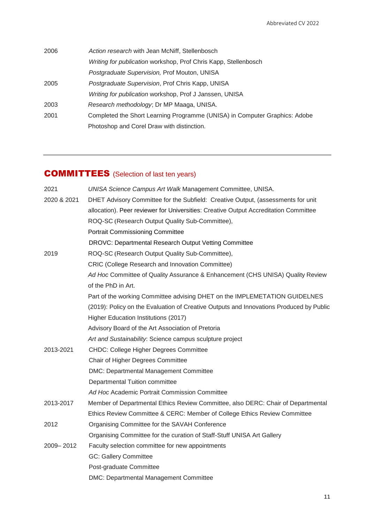| 2006 | Action research with Jean McNiff, Stellenbosch                             |
|------|----------------------------------------------------------------------------|
|      | Writing for publication workshop, Prof Chris Kapp, Stellenbosch            |
|      | <i>Postgraduate Supervision, Prof Mouton, UNISA</i>                        |
| 2005 | <i>Postgraduate Supervision, Prof Chris Kapp, UNISA</i>                    |
|      | Writing for publication workshop, Prof J Janssen, UNISA                    |
| 2003 | Research methodology; Dr MP Maaga, UNISA.                                  |
| 2001 | Completed the Short Learning Programme (UNISA) in Computer Graphics: Adobe |
|      | Photoshop and Corel Draw with distinction.                                 |
|      |                                                                            |

# COMMITTEES (Selection of last ten years)

| 2021        | UNISA Science Campus Art Walk Management Committee, UNISA.                              |  |  |
|-------------|-----------------------------------------------------------------------------------------|--|--|
| 2020 & 2021 | DHET Advisory Committee for the Subfield: Creative Output, (assessments for unit        |  |  |
|             | allocation). Peer reviewer for Universities: Creative Output Accreditation Committee    |  |  |
|             | ROQ-SC (Research Output Quality Sub-Committee),                                         |  |  |
|             | <b>Portrait Commissioning Committee</b>                                                 |  |  |
|             | DROVC: Departmental Research Output Vetting Committee                                   |  |  |
| 2019        | ROQ-SC (Research Output Quality Sub-Committee),                                         |  |  |
|             | CRIC (College Research and Innovation Committee)                                        |  |  |
|             | Ad Hoc Committee of Quality Assurance & Enhancement (CHS UNISA) Quality Review          |  |  |
|             | of the PhD in Art.                                                                      |  |  |
|             | Part of the working Committee advising DHET on the IMPLEMETATION GUIDELNES              |  |  |
|             | (2019): Policy on the Evaluation of Creative Outputs and Innovations Produced by Public |  |  |
|             | Higher Education Institutions (2017)                                                    |  |  |
|             | Advisory Board of the Art Association of Pretoria                                       |  |  |
|             | Art and Sustainability: Science campus sculpture project                                |  |  |
| 2013-2021   | <b>CHDC: College Higher Degrees Committee</b>                                           |  |  |
|             | Chair of Higher Degrees Committee                                                       |  |  |
|             | <b>DMC: Departmental Management Committee</b>                                           |  |  |
|             | Departmental Tuition committee                                                          |  |  |
|             | Ad Hoc Academic Portrait Commission Committee                                           |  |  |
| 2013-2017   | Member of Departmental Ethics Review Committee, also DERC: Chair of Departmental        |  |  |
|             | Ethics Review Committee & CERC: Member of College Ethics Review Committee               |  |  |
| 2012        | Organising Committee for the SAVAH Conference                                           |  |  |
|             | Organising Committee for the curation of Staff-Stuff UNISA Art Gallery                  |  |  |
| 2009-2012   | Faculty selection committee for new appointments                                        |  |  |
|             | <b>GC: Gallery Committee</b>                                                            |  |  |
|             | Post-graduate Committee                                                                 |  |  |
|             | <b>DMC: Departmental Management Committee</b>                                           |  |  |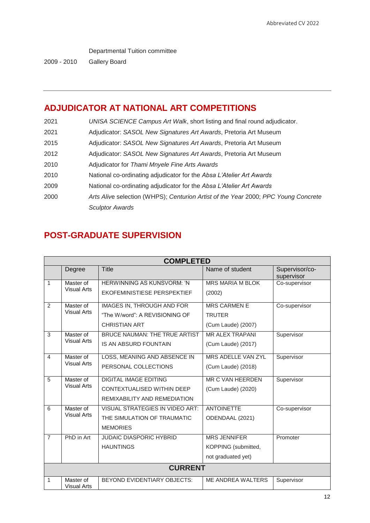Departmental Tuition committee

2009 - 2010 Gallery Board

# **ADJUDICATOR AT NATIONAL ART COMPETITIONS**

| 2021 | UNISA SCIENCE Campus Art Walk, short listing and final round adjudicator.          |
|------|------------------------------------------------------------------------------------|
| 2021 | Adjudicator: SASOL New Signatures Art Awards, Pretoria Art Museum                  |
| 2015 | Adjudicator: SASOL New Signatures Art Awards, Pretoria Art Museum                  |
| 2012 | Adjudicator: SASOL New Signatures Art Awards, Pretoria Art Museum                  |
| 2010 | Adjudicator for Thami Mnyele Fine Arts Awards                                      |
| 2010 | National co-ordinating adjudicator for the Absa L'Atelier Art Awards               |
| 2009 | National co-ordinating adjudicator for the Absa L'Atelier Art Awards               |
| 2000 | Arts Alive selection (WHPS); Centurion Artist of the Year 2000; PPC Young Concrete |
|      | <b>Sculptor Awards</b>                                                             |

## **POST-GRADUATE SUPERVISION**

| <b>COMPLETED</b> |                                 |                                        |                        |                              |  |  |
|------------------|---------------------------------|----------------------------------------|------------------------|------------------------------|--|--|
|                  | Degree                          | <b>Title</b>                           | Name of student        | Supervisor/co-<br>supervisor |  |  |
| 1                | Master of                       | <b>HERWINNING AS KUNSVORM: 'N</b>      | MRS MARIA M BLOK       | Co-supervisor                |  |  |
|                  | <b>Visual Arts</b>              | EKOFEMINISTIESE PERSPEKTIEF            | (2002)                 |                              |  |  |
| 2                | Master of                       | <b>IMAGES IN, THROUGH AND FOR</b>      | <b>MRS CARMEN E</b>    | Co-supervisor                |  |  |
|                  | <b>Visual Arts</b>              | "The W/word": A REVISIONING OF         | <b>TRUTER</b>          |                              |  |  |
|                  |                                 | <b>CHRISTIAN ART</b>                   | (Cum Laude) (2007)     |                              |  |  |
| 3                | Master of<br><b>Visual Arts</b> | BRUCE NAUMAN: THE TRUE ARTIST          | <b>MR ALEX TRAPANI</b> | Supervisor                   |  |  |
|                  |                                 | IS AN ABSURD FOUNTAIN                  | (Cum Laude) (2017)     |                              |  |  |
| $\overline{4}$   | Master of                       | LOSS, MEANING AND ABSENCE IN           | MRS ADELLE VAN ZYL     | Supervisor                   |  |  |
|                  | <b>Visual Arts</b>              | PERSONAL COLLECTIONS                   | (Cum Laude) (2018)     |                              |  |  |
| 5                | Master of<br><b>Visual Arts</b> | <b>DIGITAL IMAGE EDITING</b>           | MR C VAN HEERDEN       | Supervisor                   |  |  |
|                  |                                 | CONTEXTUALISED WITHIN DEEP             | (Cum Laude) (2020)     |                              |  |  |
|                  |                                 | REMIXABILITY AND REMEDIATION           |                        |                              |  |  |
| 6                | Master of<br><b>Visual Arts</b> | <b>VISUAL STRATEGIES IN VIDEO ART:</b> | <b>ANTOINETTE</b>      | Co-supervisor                |  |  |
|                  |                                 | THE SIMULATION OF TRAUMATIC            | ODENDAAL (2021)        |                              |  |  |
|                  |                                 | <b>MEMORIES</b>                        |                        |                              |  |  |
| $\overline{7}$   | PhD in Art                      | <b>JUDAIC DIASPORIC HYBRID</b>         | <b>MRS JENNIFER</b>    | Promoter                     |  |  |
|                  |                                 | <b>HAUNTINGS</b>                       | KOPPING (submitted,    |                              |  |  |
|                  |                                 |                                        | not graduated yet)     |                              |  |  |
| <b>CURRENT</b>   |                                 |                                        |                        |                              |  |  |
| 1                | Master of                       | BEYOND EVIDENTIARY OBJECTS:            | ME ANDREA WALTERS      | Supervisor                   |  |  |
|                  | <b>Visual Arts</b>              |                                        |                        |                              |  |  |